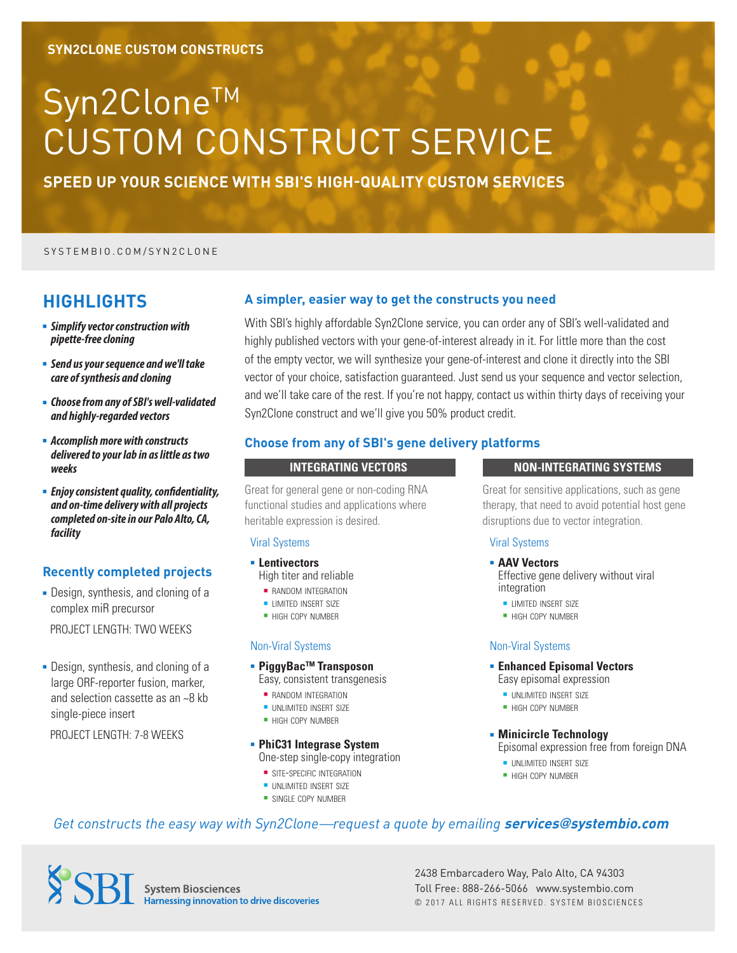# Syn2Clone™ CUSTOM CONSTRUCT SERVICE

**SPEED UP YOUR SCIENCE WITH SBI'S HIGH-QUALITY CUSTOM SERVICES**

#### SYSTEMBIO.COM/SYN2CLONE

## **HIGHLIGHTS**

- <sup>n</sup> *Simplify vector construction with pipette-free cloning*
- <sup>n</sup> *Send us your sequence and we'll take care of synthesis and cloning*
- <sup>n</sup> *Choose from any of SBI's well-validated and highly-regarded vectors*
- <sup>n</sup> *Accomplish more with constructs delivered to your lab in as little as two weeks*
- **Enjoy consistent quality, confidentiality,** *and on-time delivery with all projects completed on-site in our Palo Alto, CA, facility*

#### **Recently completed projects**

• Design, synthesis, and cloning of a complex miR precursor

PROJECT LENGTH: TWO WEEKS

• Design, synthesis, and cloning of a large ORF-reporter fusion, marker, and selection cassette as an ~8 kb single-piece insert

PROJECT LENGTH: 7-8 WEEKS

#### **A simpler, easier way to get the constructs you need**

With SBI's highly affordable Syn2Clone service, you can order any of SBI's well-validated and highly published vectors with your gene-of-interest already in it. For little more than the cost of the empty vector, we will synthesize your gene-of-interest and clone it directly into the SBI vector of your choice, satisfaction guaranteed. Just send us your sequence and vector selection, and we'll take care of the rest. If you're not happy, contact us within thirty days of receiving your Syn2Clone construct and we'll give you 50% product credit.

#### **Choose from any of SBI's gene delivery platforms**

#### **INTEGRATING VECTORS NON-INTEGRATING SYSTEMS**

Great for general gene or non-coding RNA functional studies and applications where heritable expression is desired.

#### Viral Systems

- **E** Lentivectors High titer and reliable
	- **RANDOM INTEGRATION**
	- **LIMITED INSERT SIZE**
	- **HIGH COPY NUMBER**

#### Non-Viral Systems

- PiggyBac<sup>™</sup> Transposon
- Easy, consistent transgenesis
- **RANDOM INTEGRATION**
- **UNLIMITED INSERT SIZE**
- **HIGH COPY NUMBER**

#### <sup>n</sup> **PhiC31 Integrase System** One-step single-copy integration

**= SITE-SPECIFIC INTEGRATION** 

- **N UNLIMITED INSERT SIZE**
- **= SINGLE COPY NUMBER**

Great for sensitive applications, such as gene therapy, that need to avoid potential host gene disruptions due to vector integration.

#### Viral Systems

- **AAV Vectors** Effective gene delivery without viral
	- integration
	- **LIMITED INSERT SIZE**
	- **HIGH COPY NUMBER**

#### Non-Viral Systems

**Enhanced Episomal Vectors** 

Easy episomal expression

- **UNLIMITED INSERT SIZE**
- **HIGH COPY NUMBER**

#### **E** Minicircle Technology

Episomal expression free from foreign DNA

- **UNLIMITED INSERT SIZE**
- **HIGH COPY NUMBER**

### *Get constructs the easy way with Syn2Clone—request a quote by emailing* **services@systembio.com**

**SSRT** System Biosciences Harnessing innovation to drive discoveries

2438 Embarcadero Way, Palo Alto, CA 94303 Toll Free: 888-266-5066 www.systembio.com © 2017 ALL RIGHTS RESERVED. SYSTEM BIOSCIENCES